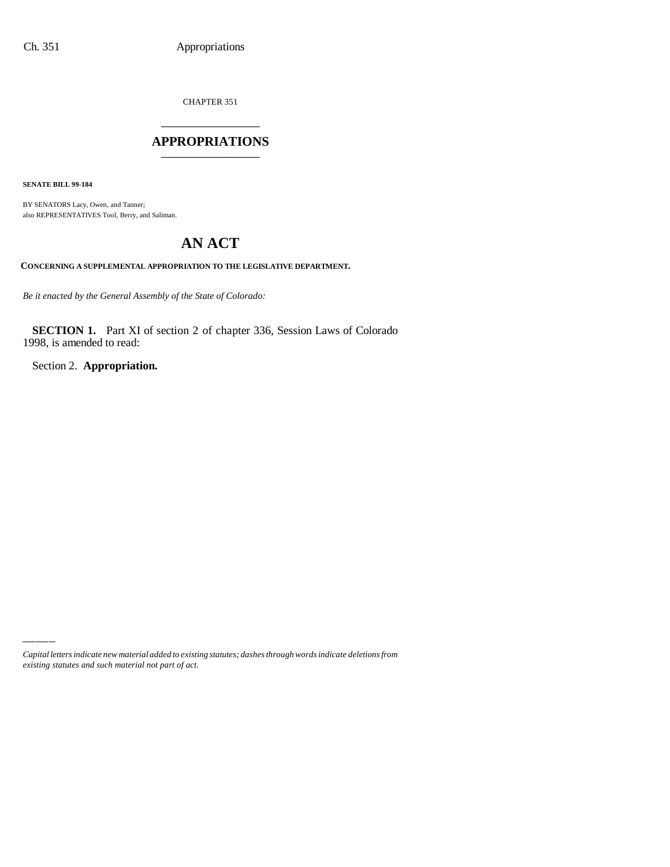CHAPTER 351 \_\_\_\_\_\_\_\_\_\_\_\_\_\_\_

## **APPROPRIATIONS** \_\_\_\_\_\_\_\_\_\_\_\_\_\_\_

**SENATE BILL 99-184**

BY SENATORS Lacy, Owen, and Tanner; also REPRESENTATIVES Tool, Berry, and Saliman.

## **AN ACT**

**CONCERNING A SUPPLEMENTAL APPROPRIATION TO THE LEGISLATIVE DEPARTMENT.**

*Be it enacted by the General Assembly of the State of Colorado:*

**SECTION 1.** Part XI of section 2 of chapter 336, Session Laws of Colorado 1998, is amended to read:

Section 2. **Appropriation.**

*Capital letters indicate new material added to existing statutes; dashes through words indicate deletions from existing statutes and such material not part of act.*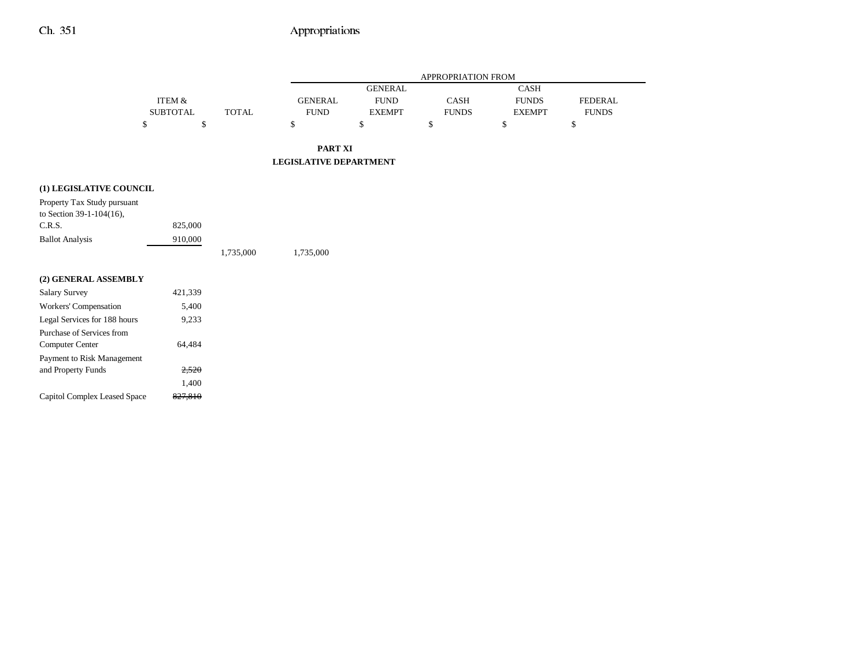## Ch. 351 Appropriations

|                                                         |                                      |              |                               |                                                | APPROPRIATION FROM   |                                              |                                |
|---------------------------------------------------------|--------------------------------------|--------------|-------------------------------|------------------------------------------------|----------------------|----------------------------------------------|--------------------------------|
|                                                         | <b>ITEM &amp;</b><br><b>SUBTOTAL</b> | <b>TOTAL</b> | <b>GENERAL</b><br><b>FUND</b> | <b>GENERAL</b><br><b>FUND</b><br><b>EXEMPT</b> | CASH<br><b>FUNDS</b> | <b>CASH</b><br><b>FUNDS</b><br><b>EXEMPT</b> | <b>FEDERAL</b><br><b>FUNDS</b> |
|                                                         | \$<br>\$                             |              | \$                            | \$                                             | \$                   | $\$$                                         | \$                             |
|                                                         |                                      |              | <b>PART XI</b>                |                                                |                      |                                              |                                |
|                                                         |                                      |              | <b>LEGISLATIVE DEPARTMENT</b> |                                                |                      |                                              |                                |
| (1) LEGISLATIVE COUNCIL                                 |                                      |              |                               |                                                |                      |                                              |                                |
| Property Tax Study pursuant<br>to Section 39-1-104(16), |                                      |              |                               |                                                |                      |                                              |                                |
| C.R.S.                                                  | 825,000                              |              |                               |                                                |                      |                                              |                                |
| <b>Ballot Analysis</b>                                  | 910,000                              |              |                               |                                                |                      |                                              |                                |
|                                                         |                                      | 1,735,000    | 1,735,000                     |                                                |                      |                                              |                                |
| (2) GENERAL ASSEMBLY                                    |                                      |              |                               |                                                |                      |                                              |                                |
| <b>Salary Survey</b>                                    | 421,339                              |              |                               |                                                |                      |                                              |                                |
| Workers' Compensation                                   | 5,400                                |              |                               |                                                |                      |                                              |                                |
| Legal Services for 188 hours                            | 9,233                                |              |                               |                                                |                      |                                              |                                |
| Purchase of Services from                               |                                      |              |                               |                                                |                      |                                              |                                |
| Computer Center                                         | 64,484                               |              |                               |                                                |                      |                                              |                                |
| Payment to Risk Management                              |                                      |              |                               |                                                |                      |                                              |                                |
| and Property Funds                                      | 2,520                                |              |                               |                                                |                      |                                              |                                |
|                                                         | 1,400                                |              |                               |                                                |                      |                                              |                                |
| Capitol Complex Leased Space                            | 827,810                              |              |                               |                                                |                      |                                              |                                |